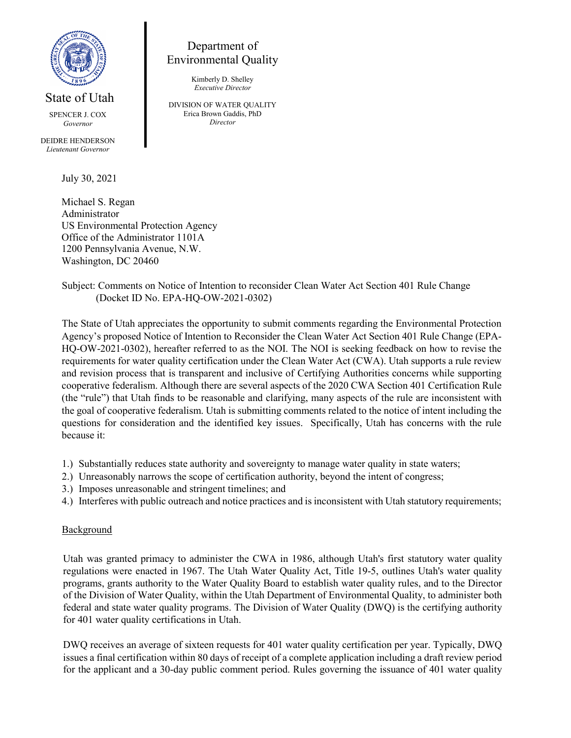

State of Utah

SPENCER J. COX *Governor*

DEIDRE HENDERSON *Lieutenant Governor*

July 30, 2021

Michael S. Regan Administrator US Environmental Protection Agency Office of the Administrator 1101A 1200 Pennsylvania Avenue, N.W. Washington, DC 20460

# Department of Environmental Quality

Kimberly D. Shelley *Executive Director*

DIVISION OF WATER QUALITY Erica Brown Gaddis, PhD *Director*

Subject: Comments on Notice of Intention to reconsider Clean Water Act Section 401 Rule Change (Docket ID No. EPA-HQ-OW-2021-0302)

The State of Utah appreciates the opportunity to submit comments regarding the Environmental Protection Agency's proposed Notice of Intention to Reconsider the Clean Water Act Section 401 Rule Change (EPA-HQ-OW-2021-0302), hereafter referred to as the NOI. The NOI is seeking feedback on how to revise the requirements for water quality certification under the Clean Water Act (CWA). Utah supports a rule review and revision process that is transparent and inclusive of Certifying Authorities concerns while supporting cooperative federalism. Although there are several aspects of the 2020 CWA Section 401 Certification Rule (the "rule") that Utah finds to be reasonable and clarifying, many aspects of the rule are inconsistent with the goal of cooperative federalism. Utah is submitting comments related to the notice of intent including the questions for consideration and the identified key issues. Specifically, Utah has concerns with the rule because it:

- 1.) Substantially reduces state authority and sovereignty to manage water quality in state waters;
- 2.) Unreasonably narrows the scope of certification authority, beyond the intent of congress;
- 3.) Imposes unreasonable and stringent timelines; and
- 4.) Interferes with public outreach and notice practices and is inconsistent with Utah statutory requirements;

#### **Background**

Utah was granted primacy to administer the CWA in 1986, although Utah's first statutory water quality regulations were enacted in 1967. The Utah Water Quality Act, Title 19-5, outlines Utah's water quality programs, grants authority to the Water Quality Board to establish water quality rules, and to the Director of the Division of Water Quality, within the Utah Department of Environmental Quality, to administer both federal and state water quality programs. The Division of Water Quality (DWQ) is the certifying authority for 401 water quality certifications in Utah.

DWQ receives an average of sixteen requests for 401 water quality certification per year. Typically, DWQ issues a final certification within 80 days of receipt of a complete application including a draft review period for the applicant and a 30-day public comment period. Rules governing the issuance of 401 water quality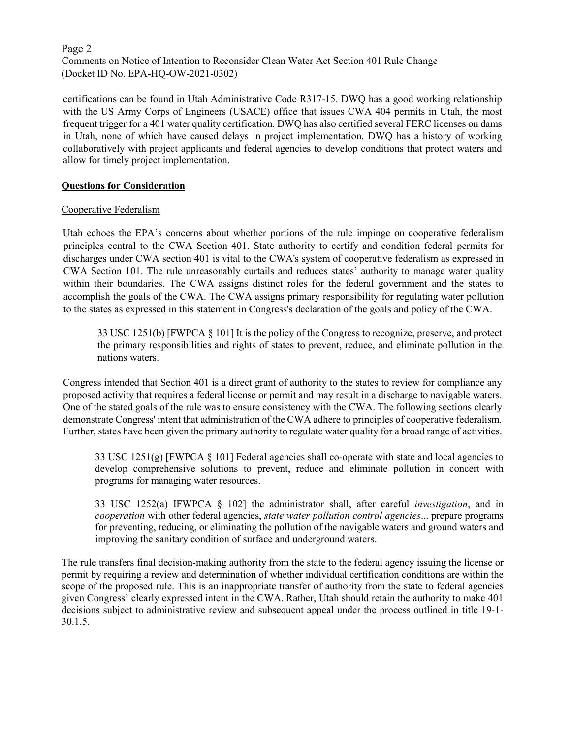#### Page 2 Comments on Notice of Intention to Reconsider Clean Water Act Section 401 Rule Change (Docket ID No. EPA-HQ-OW-2021-0302)

certifications can be found in Utah Administrative Code R317-15. DWQ has a good working relationship with the US Army Corps of Engineers (USACE) office that issues CWA 404 permits in Utah, the most frequent trigger for a 401 water quality certification. DWQ has also certified several FERC licenses on dams in Utah, none of which have caused delays in project implementation. DWQ has a history of working collaboratively with project applicants and federal agencies to develop conditions that protect waters and allow for timely project implementation.

## **Questions for Consideration**

## Cooperative Federalism

Utah echoes the EPA's concerns about whether portions of the rule impinge on cooperative federalism principles central to the CWA Section 401. State authority to certify and condition federal permits for discharges under CWA section 401 is vital to the CWA's system of cooperative federalism as expressed in CWA Section 101. The rule unreasonably curtails and reduces states' authority to manage water quality within their boundaries. The CWA assigns distinct roles for the federal government and the states to accomplish the goals of the CWA. The CWA assigns primary responsibility for regulating water pollution to the states as expressed in this statement in Congress's declaration of the goals and policy of the CWA.

33 USC 1251(b) [FWPCA § 101] It is the policy of the Congress to recognize, preserve, and protect the primary responsibilities and rights of states to prevent, reduce, and eliminate pollution in the nations waters.

Congress intended that Section 401 is a direct grant of authority to the states to review for compliance any proposed activity that requires a federal license or permit and may result in a discharge to navigable waters. One of the stated goals of the rule was to ensure consistency with the CWA. The following sections clearly demonstrate Congress' intent that administration of the CWA adhere to principles of cooperative federalism. Further, states have been given the primary authority to regulate water quality for a broad range of activities.

33 USC 1251(g) [FWPCA § 101] Federal agencies shall co-operate with state and local agencies to develop comprehensive solutions to prevent, reduce and eliminate pollution in concert with programs for managing water resources.

33 USC 1252(a) IFWPCA § 102] the administrator shall, after careful *investigation*, and in *cooperation* with other federal agencies, *state water pollution control agencies*... prepare programs for preventing, reducing, or eliminating the pollution of the navigable waters and ground waters and improving the sanitary condition of surface and underground waters.

The rule transfers final decision-making authority from the state to the federal agency issuing the license or permit by requiring a review and determination of whether individual certification conditions are within the scope of the proposed rule. This is an inappropriate transfer of authority from the state to federal agencies given Congress' clearly expressed intent in the CWA. Rather, Utah should retain the authority to make 401 decisions subject to administrative review and subsequent appeal under the process outlined in title 19-1- 30.1.5.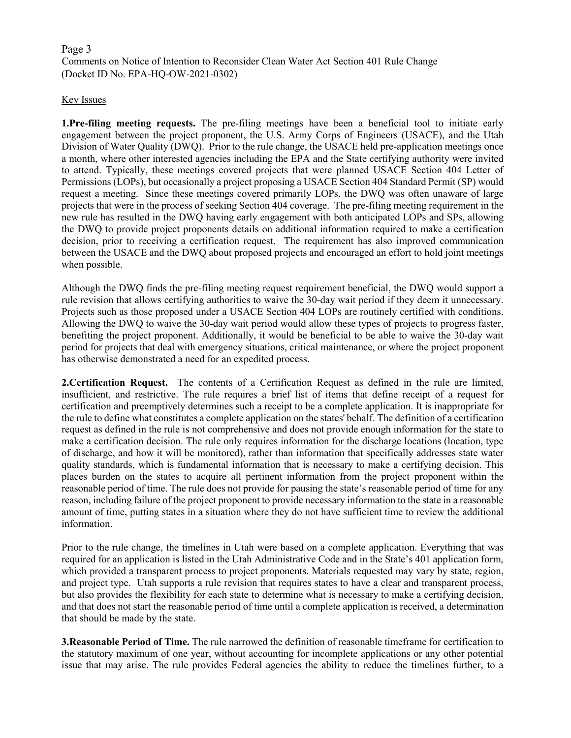# Page 3 Comments on Notice of Intention to Reconsider Clean Water Act Section 401 Rule Change (Docket ID No. EPA-HQ-OW-2021-0302)

## Key Issues

**1.Pre-filing meeting requests.** The pre-filing meetings have been a beneficial tool to initiate early engagement between the project proponent, the U.S. Army Corps of Engineers (USACE), and the Utah Division of Water Quality (DWQ). Prior to the rule change, the USACE held pre-application meetings once a month, where other interested agencies including the EPA and the State certifying authority were invited to attend. Typically, these meetings covered projects that were planned USACE Section 404 Letter of Permissions (LOPs), but occasionally a project proposing a USACE Section 404 Standard Permit (SP) would request a meeting. Since these meetings covered primarily LOPs, the DWQ was often unaware of large projects that were in the process of seeking Section 404 coverage. The pre-filing meeting requirement in the new rule has resulted in the DWQ having early engagement with both anticipated LOPs and SPs, allowing the DWQ to provide project proponents details on additional information required to make a certification decision, prior to receiving a certification request. The requirement has also improved communication between the USACE and the DWQ about proposed projects and encouraged an effort to hold joint meetings when possible.

Although the DWQ finds the pre-filing meeting request requirement beneficial, the DWQ would support a rule revision that allows certifying authorities to waive the 30-day wait period if they deem it unnecessary. Projects such as those proposed under a USACE Section 404 LOPs are routinely certified with conditions. Allowing the DWQ to waive the 30-day wait period would allow these types of projects to progress faster, benefiting the project proponent. Additionally, it would be beneficial to be able to waive the 30-day wait period for projects that deal with emergency situations, critical maintenance, or where the project proponent has otherwise demonstrated a need for an expedited process.

**2.Certification Request.** The contents of a Certification Request as defined in the rule are limited, insufficient, and restrictive. The rule requires a brief list of items that define receipt of a request for certification and preemptively determines such a receipt to be a complete application. It is inappropriate for the rule to define what constitutes a complete application on the states' behalf. The definition of a certification request as defined in the rule is not comprehensive and does not provide enough information for the state to make a certification decision. The rule only requires information for the discharge locations (location, type of discharge, and how it will be monitored), rather than information that specifically addresses state water quality standards, which is fundamental information that is necessary to make a certifying decision. This places burden on the states to acquire all pertinent information from the project proponent within the reasonable period of time. The rule does not provide for pausing the state's reasonable period of time for any reason, including failure of the project proponent to provide necessary information to the state in a reasonable amount of time, putting states in a situation where they do not have sufficient time to review the additional information.

Prior to the rule change, the timelines in Utah were based on a complete application. Everything that was required for an application is listed in the Utah Administrative Code and in the State's 401 application form, which provided a transparent process to project proponents. Materials requested may vary by state, region, and project type. Utah supports a rule revision that requires states to have a clear and transparent process, but also provides the flexibility for each state to determine what is necessary to make a certifying decision, and that does not start the reasonable period of time until a complete application is received, a determination that should be made by the state.

**3.Reasonable Period of Time.** The rule narrowed the definition of reasonable timeframe for certification to the statutory maximum of one year, without accounting for incomplete applications or any other potential issue that may arise. The rule provides Federal agencies the ability to reduce the timelines further, to a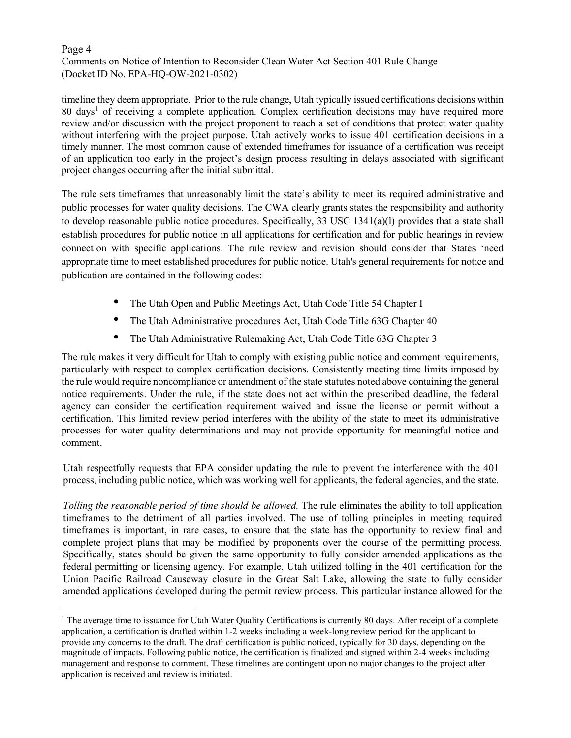## Page 4 Comments on Notice of Intention to Reconsider Clean Water Act Section 401 Rule Change (Docket ID No. EPA-HQ-OW-2021-0302)

timeline they deem appropriate. Prior to the rule change, Utah typically issued certifications decisions within 80 days[1](#page-3-0) of receiving a complete application. Complex certification decisions may have required more review and/or discussion with the project proponent to reach a set of conditions that protect water quality without interfering with the project purpose. Utah actively works to issue 401 certification decisions in a timely manner. The most common cause of extended timeframes for issuance of a certification was receipt of an application too early in the project's design process resulting in delays associated with significant project changes occurring after the initial submittal.

The rule sets timeframes that unreasonably limit the state's ability to meet its required administrative and public processes for water quality decisions. The CWA clearly grants states the responsibility and authority to develop reasonable public notice procedures. Specifically, 33 USC 1341(a)(l) provides that a state shall establish procedures for public notice in all applications for certification and for public hearings in review connection with specific applications. The rule review and revision should consider that States 'need appropriate time to meet established procedures for public notice. Utah's general requirements for notice and publication are contained in the following codes:

- The Utah Open and Public Meetings Act, Utah Code Title 54 Chapter I
- The Utah Administrative procedures Act, Utah Code Title 63G Chapter 40
- The Utah Administrative Rulemaking Act, Utah Code Title 63G Chapter 3

The rule makes it very difficult for Utah to comply with existing public notice and comment requirements, particularly with respect to complex certification decisions. Consistently meeting time limits imposed by the rule would require noncompliance or amendment of the state statutes noted above containing the general notice requirements. Under the rule, if the state does not act within the prescribed deadline, the federal agency can consider the certification requirement waived and issue the license or permit without a certification. This limited review period interferes with the ability of the state to meet its administrative processes for water quality determinations and may not provide opportunity for meaningful notice and comment.

Utah respectfully requests that EPA consider updating the rule to prevent the interference with the 401 process, including public notice, which was working well for applicants, the federal agencies, and the state.

*Tolling the reasonable period of time should be allowed.* The rule eliminates the ability to toll application timeframes to the detriment of all parties involved. The use of tolling principles in meeting required timeframes is important, in rare cases, to ensure that the state has the opportunity to review final and complete project plans that may be modified by proponents over the course of the permitting process. Specifically, states should be given the same opportunity to fully consider amended applications as the federal permitting or licensing agency. For example, Utah utilized tolling in the 401 certification for the Union Pacific Railroad Causeway closure in the Great Salt Lake, allowing the state to fully consider amended applications developed during the permit review process. This particular instance allowed for the

<span id="page-3-0"></span> $<sup>1</sup>$  The average time to issuance for Utah Water Quality Certifications is currently 80 days. After receipt of a complete</sup> application, a certification is drafted within 1-2 weeks including a week-long review period for the applicant to provide any concerns to the draft. The draft certification is public noticed, typically for 30 days, depending on the magnitude of impacts. Following public notice, the certification is finalized and signed within 2-4 weeks including management and response to comment. These timelines are contingent upon no major changes to the project after application is received and review is initiated.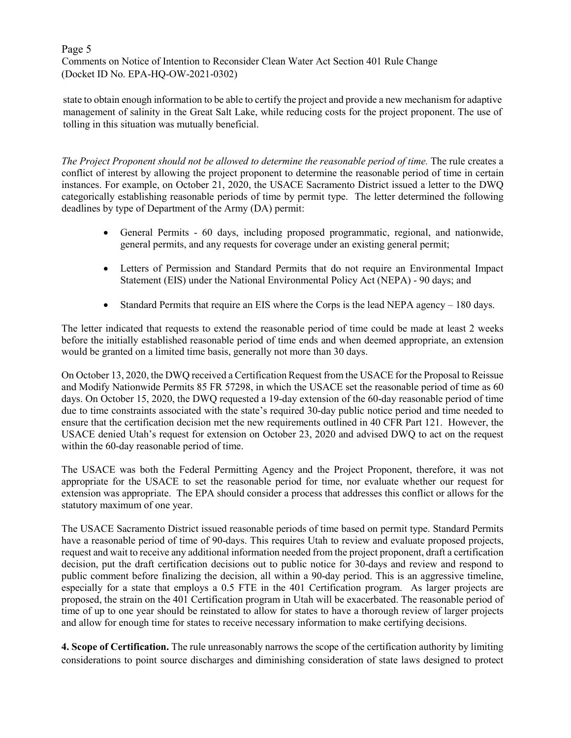#### Page 5 Comments on Notice of Intention to Reconsider Clean Water Act Section 401 Rule Change (Docket ID No. EPA-HQ-OW-2021-0302)

state to obtain enough information to be able to certify the project and provide a new mechanism for adaptive management of salinity in the Great Salt Lake, while reducing costs for the project proponent. The use of tolling in this situation was mutually beneficial.

*The Project Proponent should not be allowed to determine the reasonable period of time.* The rule creates a conflict of interest by allowing the project proponent to determine the reasonable period of time in certain instances. For example, on October 21, 2020, the USACE Sacramento District issued a letter to the DWQ categorically establishing reasonable periods of time by permit type. The letter determined the following deadlines by type of Department of the Army (DA) permit:

- General Permits 60 days, including proposed programmatic, regional, and nationwide, general permits, and any requests for coverage under an existing general permit;
- Letters of Permission and Standard Permits that do not require an Environmental Impact Statement (EIS) under the National Environmental Policy Act (NEPA) - 90 days; and
- Standard Permits that require an EIS where the Corps is the lead NEPA agency 180 days.

The letter indicated that requests to extend the reasonable period of time could be made at least 2 weeks before the initially established reasonable period of time ends and when deemed appropriate, an extension would be granted on a limited time basis, generally not more than 30 days.

On October 13, 2020, the DWQ received a Certification Request from the USACE for the Proposal to Reissue and Modify Nationwide Permits 85 FR 57298, in which the USACE set the reasonable period of time as 60 days. On October 15, 2020, the DWQ requested a 19-day extension of the 60-day reasonable period of time due to time constraints associated with the state's required 30-day public notice period and time needed to ensure that the certification decision met the new requirements outlined in 40 CFR Part 121. However, the USACE denied Utah's request for extension on October 23, 2020 and advised DWQ to act on the request within the 60-day reasonable period of time.

The USACE was both the Federal Permitting Agency and the Project Proponent, therefore, it was not appropriate for the USACE to set the reasonable period for time, nor evaluate whether our request for extension was appropriate. The EPA should consider a process that addresses this conflict or allows for the statutory maximum of one year.

The USACE Sacramento District issued reasonable periods of time based on permit type. Standard Permits have a reasonable period of time of 90-days. This requires Utah to review and evaluate proposed projects, request and wait to receive any additional information needed from the project proponent, draft a certification decision, put the draft certification decisions out to public notice for 30-days and review and respond to public comment before finalizing the decision, all within a 90-day period. This is an aggressive timeline, especially for a state that employs a 0.5 FTE in the 401 Certification program. As larger projects are proposed, the strain on the 401 Certification program in Utah will be exacerbated. The reasonable period of time of up to one year should be reinstated to allow for states to have a thorough review of larger projects and allow for enough time for states to receive necessary information to make certifying decisions.

**4. Scope of Certification.** The rule unreasonably narrows the scope of the certification authority by limiting considerations to point source discharges and diminishing consideration of state laws designed to protect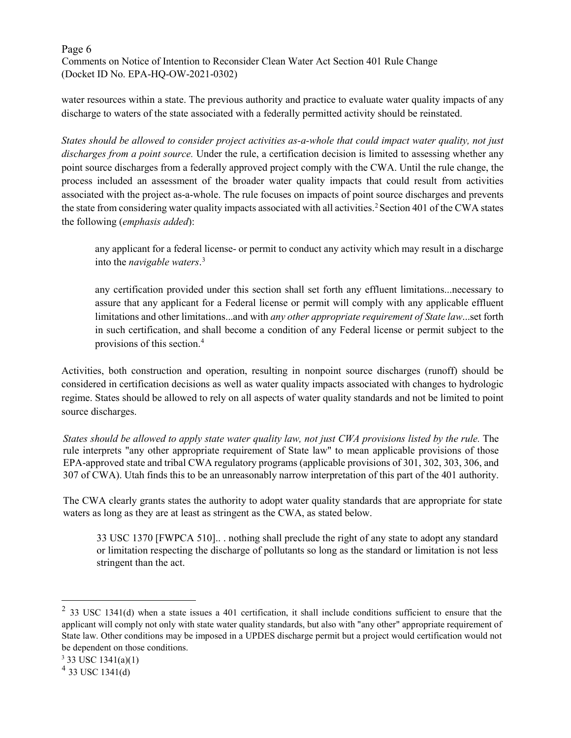## Page 6 Comments on Notice of Intention to Reconsider Clean Water Act Section 401 Rule Change (Docket ID No. EPA-HQ-OW-2021-0302)

water resources within a state. The previous authority and practice to evaluate water quality impacts of any discharge to waters of the state associated with a federally permitted activity should be reinstated.

*States should be allowed to consider project activities as-a-whole that could impact water quality, not just discharges from a point source.* Under the rule, a certification decision is limited to assessing whether any point source discharges from a federally approved project comply with the CWA. Until the rule change, the process included an assessment of the broader water quality impacts that could result from activities associated with the project as-a-whole. The rule focuses on impacts of point source discharges and prevents the state from considering water quality impacts associated with all activities.<sup>[2](#page-5-0)</sup> Section 401 of the CWA states the following (*emphasis added*):

any applicant for a federal license- or permit to conduct any activity which may result in a discharge into the *navigable waters*. [3](#page-5-1)

any certification provided under this section shall set forth any effluent limitations...necessary to assure that any applicant for a Federal license or permit will comply with any applicable effluent limitations and other limitations...and with *any other appropriate requirement of State law*...set forth in such certification, and shall become a condition of any Federal license or permit subject to the provisions of this section.[4](#page-5-2)

Activities, both construction and operation, resulting in nonpoint source discharges (runoff) should be considered in certification decisions as well as water quality impacts associated with changes to hydrologic regime. States should be allowed to rely on all aspects of water quality standards and not be limited to point source discharges.

*States should be allowed to apply state water quality law, not just CWA provisions listed by the rule.* The rule interprets "any other appropriate requirement of State law" to mean applicable provisions of those EPA-approved state and tribal CWA regulatory programs (applicable provisions of 301, 302, 303, 306, and 307 of CWA). Utah finds this to be an unreasonably narrow interpretation of this part of the 401 authority.

The CWA clearly grants states the authority to adopt water quality standards that are appropriate for state waters as long as they are at least as stringent as the CWA, as stated below.

33 USC 1370 [FWPCA 510].. . nothing shall preclude the right of any state to adopt any standard or limitation respecting the discharge of pollutants so long as the standard or limitation is not less stringent than the act.

<span id="page-5-0"></span> $2$  33 USC 1341(d) when a state issues a 401 certification, it shall include conditions sufficient to ensure that the applicant will comply not only with state water quality standards, but also with "any other" appropriate requirement of State law. Other conditions may be imposed in a UPDES discharge permit but a project would certification would not be dependent on those conditions.

<span id="page-5-1"></span> $3$  33 USC 1341(a)(1)

<span id="page-5-2"></span> $4$  33 USC 1341(d)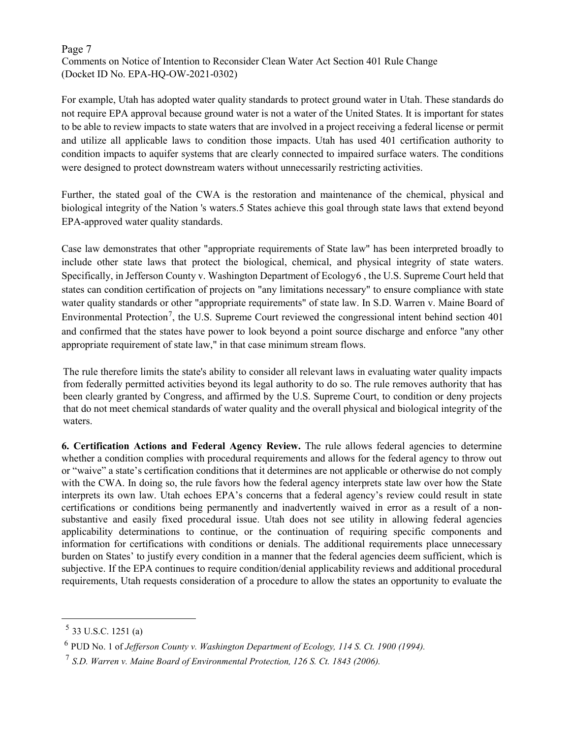## Page 7 Comments on Notice of Intention to Reconsider Clean Water Act Section 401 Rule Change (Docket ID No. EPA-HQ-OW-2021-0302)

For example, Utah has adopted water quality standards to protect ground water in Utah. These standards do not require EPA approval because ground water is not a water of the United States. It is important for states to be able to review impacts to state waters that are involved in a project receiving a federal license or permit and utilize all applicable laws to condition those impacts. Utah has used 401 certification authority to condition impacts to aquifer systems that are clearly connected to impaired surface waters. The conditions were designed to protect downstream waters without unnecessarily restricting activities.

Further, the stated goal of the CWA is the restoration and maintenance of the chemical, physical and biological integrity of the Nation 's waters[.5](#page-6-0) States achieve this goal through state laws that extend beyond EPA-approved water quality standards.

Case law demonstrates that other "appropriate requirements of State law" has been interpreted broadly to include other state laws that protect the biological, chemical, and physical integrity of state waters. Specifically, in Jefferson County v. Washington Department of Ecology[6](#page-6-1) , the U.S. Supreme Court held that states can condition certification of projects on "any limitations necessary" to ensure compliance with state water quality standards or other "appropriate requirements" of state law. In S.D. Warren v. Maine Board of Environmental Protection<sup>[7](#page-6-2)</sup>, the U.S. Supreme Court reviewed the congressional intent behind section 401 and confirmed that the states have power to look beyond a point source discharge and enforce "any other appropriate requirement of state law," in that case minimum stream flows.

The rule therefore limits the state's ability to consider all relevant laws in evaluating water quality impacts from federally permitted activities beyond its legal authority to do so. The rule removes authority that has been clearly granted by Congress, and affirmed by the U.S. Supreme Court, to condition or deny projects that do not meet chemical standards of water quality and the overall physical and biological integrity of the waters.

**6. Certification Actions and Federal Agency Review.** The rule allows federal agencies to determine whether a condition complies with procedural requirements and allows for the federal agency to throw out or "waive" a state's certification conditions that it determines are not applicable or otherwise do not comply with the CWA. In doing so, the rule favors how the federal agency interprets state law over how the State interprets its own law. Utah echoes EPA's concerns that a federal agency's review could result in state certifications or conditions being permanently and inadvertently waived in error as a result of a nonsubstantive and easily fixed procedural issue. Utah does not see utility in allowing federal agencies applicability determinations to continue, or the continuation of requiring specific components and information for certifications with conditions or denials. The additional requirements place unnecessary burden on States' to justify every condition in a manner that the federal agencies deem sufficient, which is subjective. If the EPA continues to require condition/denial applicability reviews and additional procedural requirements, Utah requests consideration of a procedure to allow the states an opportunity to evaluate the

<span id="page-6-0"></span> $5$  33 U.S.C. 1251 (a)

<span id="page-6-1"></span><sup>6</sup> PUD No. 1 of *Jefferson County v. Washington Department of Ecology, 114 S. Ct. 1900 (1994).*

<span id="page-6-2"></span><sup>7</sup> *S.D. Warren v. Maine Board of Environmental Protection, 126 S. Ct. 1843 (2006).*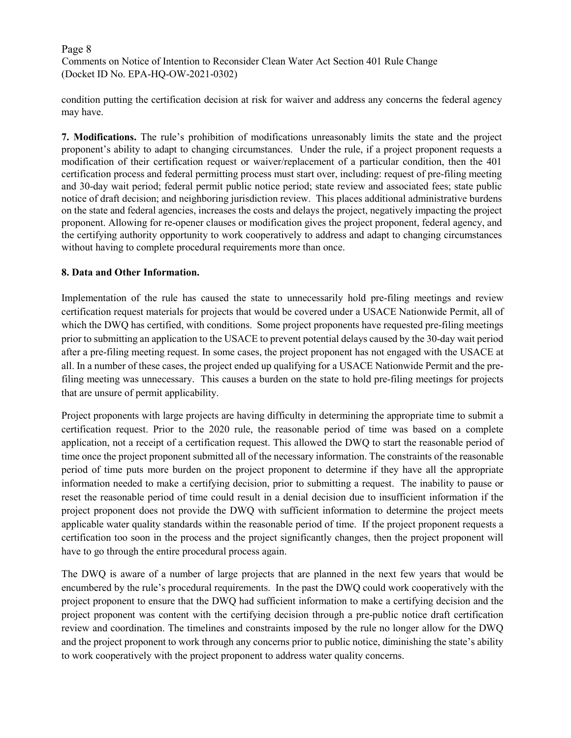# Page 8 Comments on Notice of Intention to Reconsider Clean Water Act Section 401 Rule Change (Docket ID No. EPA-HQ-OW-2021-0302)

condition putting the certification decision at risk for waiver and address any concerns the federal agency may have.

**7. Modifications.** The rule's prohibition of modifications unreasonably limits the state and the project proponent's ability to adapt to changing circumstances. Under the rule, if a project proponent requests a modification of their certification request or waiver/replacement of a particular condition, then the 401 certification process and federal permitting process must start over, including: request of pre-filing meeting and 30-day wait period; federal permit public notice period; state review and associated fees; state public notice of draft decision; and neighboring jurisdiction review. This places additional administrative burdens on the state and federal agencies, increases the costs and delays the project, negatively impacting the project proponent. Allowing for re-opener clauses or modification gives the project proponent, federal agency, and the certifying authority opportunity to work cooperatively to address and adapt to changing circumstances without having to complete procedural requirements more than once.

## **8. Data and Other Information.**

Implementation of the rule has caused the state to unnecessarily hold pre-filing meetings and review certification request materials for projects that would be covered under a USACE Nationwide Permit, all of which the DWQ has certified, with conditions. Some project proponents have requested pre-filing meetings prior to submitting an application to the USACE to prevent potential delays caused by the 30-day wait period after a pre-filing meeting request. In some cases, the project proponent has not engaged with the USACE at all. In a number of these cases, the project ended up qualifying for a USACE Nationwide Permit and the prefiling meeting was unnecessary. This causes a burden on the state to hold pre-filing meetings for projects that are unsure of permit applicability.

Project proponents with large projects are having difficulty in determining the appropriate time to submit a certification request. Prior to the 2020 rule, the reasonable period of time was based on a complete application, not a receipt of a certification request. This allowed the DWQ to start the reasonable period of time once the project proponent submitted all of the necessary information. The constraints of the reasonable period of time puts more burden on the project proponent to determine if they have all the appropriate information needed to make a certifying decision, prior to submitting a request. The inability to pause or reset the reasonable period of time could result in a denial decision due to insufficient information if the project proponent does not provide the DWQ with sufficient information to determine the project meets applicable water quality standards within the reasonable period of time. If the project proponent requests a certification too soon in the process and the project significantly changes, then the project proponent will have to go through the entire procedural process again.

The DWQ is aware of a number of large projects that are planned in the next few years that would be encumbered by the rule's procedural requirements. In the past the DWQ could work cooperatively with the project proponent to ensure that the DWQ had sufficient information to make a certifying decision and the project proponent was content with the certifying decision through a pre-public notice draft certification review and coordination. The timelines and constraints imposed by the rule no longer allow for the DWQ and the project proponent to work through any concerns prior to public notice, diminishing the state's ability to work cooperatively with the project proponent to address water quality concerns.